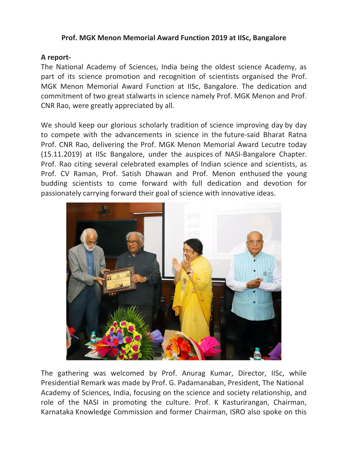## **Prof. MGK Menon Memorial Award Function 2019 at IISc, Bangalore**

## **A report-**

The National Academy of Sciences, India being the oldest science Academy, as part of its science promotion and recognition of scientists organised the Prof. MGK Menon Memorial Award Function at IISc, Bangalore. The dedication and commitment of two great stalwarts in science namely Prof. MGK Menon and Prof. CNR Rao, were greatly appreciated by all.

We should keep our glorious scholarly tradition of science improving day by day to compete with the advancements in science in the future-said Bharat Ratna Prof. CNR Rao, delivering the Prof. MGK Menon Memorial Award Lecutre today (15.11.2019) at IISc Bangalore, under the auspices of NASI-Bangalore Chapter. Prof. Rao citing several celebrated examples of Indian science and scientists, as Prof. CV Raman, Prof. Satish Dhawan and Prof. Menon enthused the young budding scientists to come forward with full dedication and devotion for passionately carrying forward their goal of science with innovative ideas.



The gathering was welcomed by Prof. Anurag Kumar, Director, IISc, while Presidential Remark was made by Prof. G. Padamanaban, President, The National Academy of Sciences, India, focusing on the science and society relationship, and role of the NASI in promoting the culture. Prof. K Kasturirangan, Chairman, Karnataka Knowledge Commission and former Chairman, ISRO also spoke on this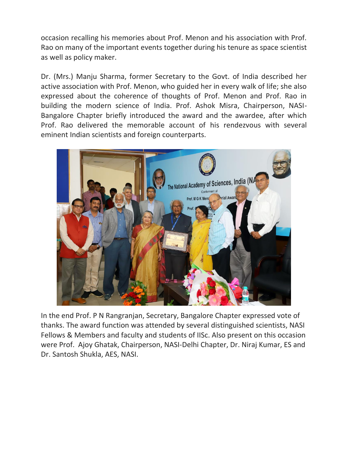occasion recalling his memories about Prof. Menon and his association with Prof. Rao on many of the important events together during his tenure as space scientist as well as policy maker.

Dr. (Mrs.) Manju Sharma, former Secretary to the Govt. of India described her active association with Prof. Menon, who guided her in every walk of life; she also expressed about the coherence of thoughts of Prof. Menon and Prof. Rao in building the modern science of India. Prof. Ashok Misra, Chairperson, NASI-Bangalore Chapter briefly introduced the award and the awardee, after which Prof. Rao delivered the memorable account of his rendezvous with several eminent Indian scientists and foreign counterparts.



In the end Prof. P N Rangranjan, Secretary, Bangalore Chapter expressed vote of thanks. The award function was attended by several distinguished scientists, NASI Fellows & Members and faculty and students of IISc. Also present on this occasion were Prof. Ajoy Ghatak, Chairperson, NASI-Delhi Chapter, Dr. Niraj Kumar, ES and Dr. Santosh Shukla, AES, NASI.